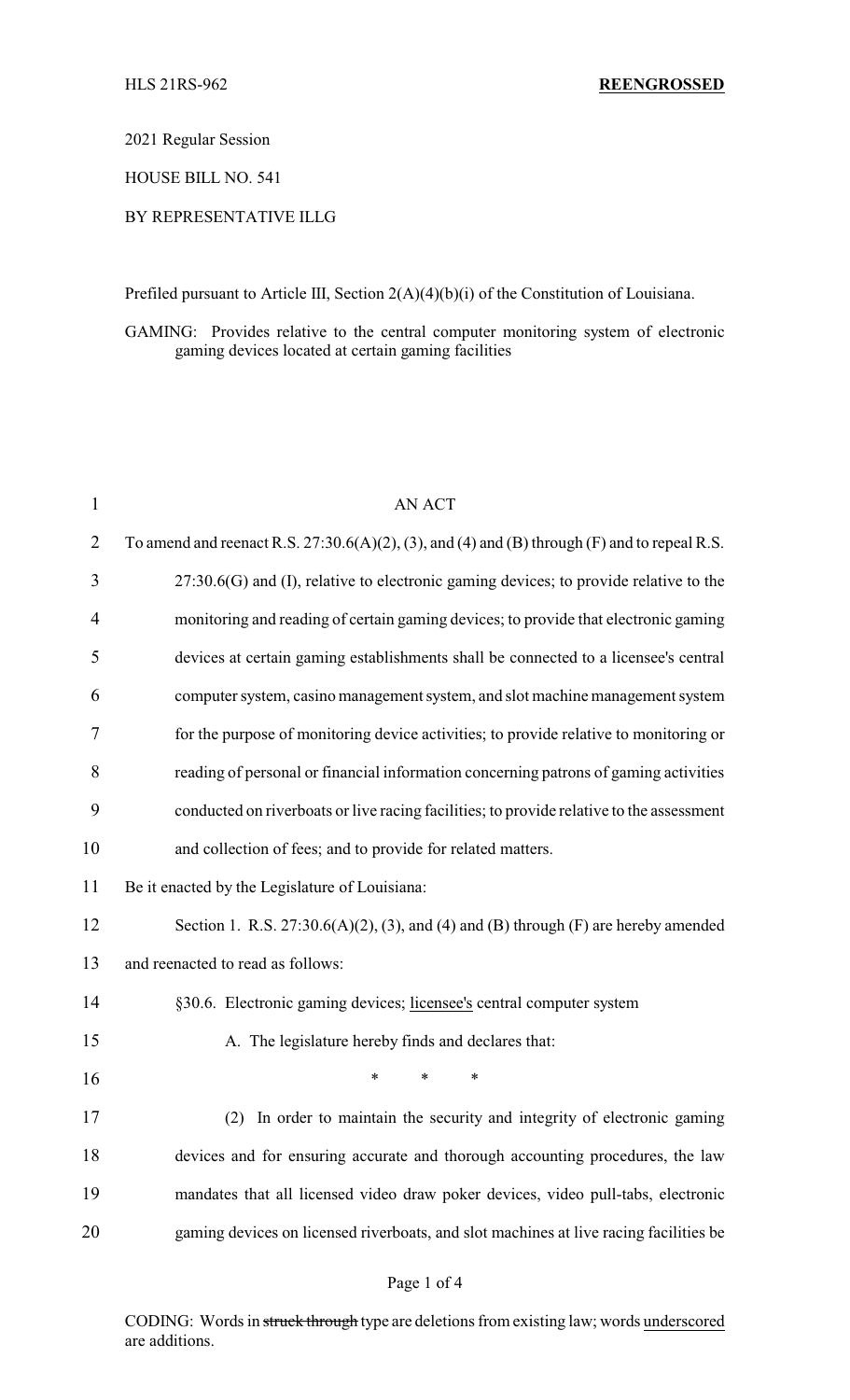2021 Regular Session

HOUSE BILL NO. 541

# BY REPRESENTATIVE ILLG

Prefiled pursuant to Article III, Section 2(A)(4)(b)(i) of the Constitution of Louisiana.

GAMING: Provides relative to the central computer monitoring system of electronic gaming devices located at certain gaming facilities

| 1              | <b>AN ACT</b>                                                                                   |
|----------------|-------------------------------------------------------------------------------------------------|
| $\overline{2}$ | To amend and reenact R.S. $27:30.6(A)(2)$ , (3), and (4) and (B) through (F) and to repeal R.S. |
| 3              | $27:30.6(G)$ and (I), relative to electronic gaming devices; to provide relative to the         |
| 4              | monitoring and reading of certain gaming devices; to provide that electronic gaming             |
| 5              | devices at certain gaming establishments shall be connected to a licensee's central             |
| 6              | computer system, casino management system, and slot machine management system                   |
| 7              | for the purpose of monitoring device activities; to provide relative to monitoring or           |
| 8              | reading of personal or financial information concerning patrons of gaming activities            |
| 9              | conducted on riverboats or live racing facilities; to provide relative to the assessment        |
| 10             | and collection of fees; and to provide for related matters.                                     |
| 11             | Be it enacted by the Legislature of Louisiana:                                                  |
| 12             | Section 1. R.S. $27:30.6(A)(2)$ , (3), and (4) and (B) through (F) are hereby amended           |
| 13             | and reenacted to read as follows:                                                               |
| 14             | §30.6. Electronic gaming devices; licensee's central computer system                            |
| 15             | A. The legislature hereby finds and declares that:                                              |
| 16             | $\ast$<br>*<br>∗                                                                                |
| 17             | In order to maintain the security and integrity of electronic gaming<br>(2)                     |
| 18             | devices and for ensuring accurate and thorough accounting procedures, the law                   |
| 19             | mandates that all licensed video draw poker devices, video pull-tabs, electronic                |
| 20             | gaming devices on licensed riverboats, and slot machines at live racing facilities be           |
|                |                                                                                                 |

# Page 1 of 4

CODING: Words in struck through type are deletions from existing law; words underscored are additions.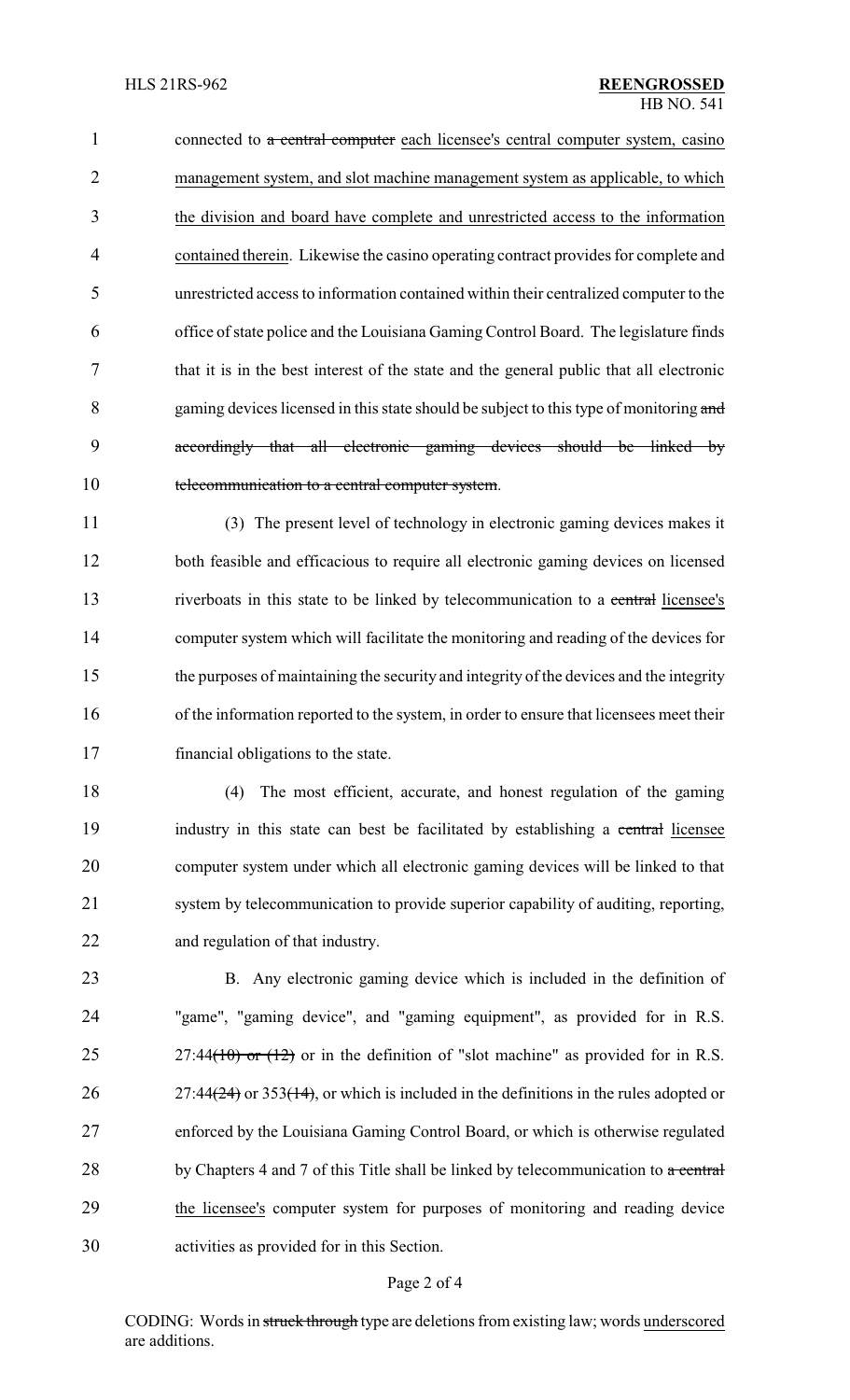1 connected to a central computer each licensee's central computer system, casino management system, and slot machine management system as applicable, to which the division and board have complete and unrestricted access to the information contained therein. Likewise the casino operating contract provides for complete and unrestricted access to information contained within their centralized computer to the office of state police and the Louisiana Gaming Control Board. The legislature finds that it is in the best interest of the state and the general public that all electronic 8 gaming devices licensed in this state should be subject to this type of monitoring and accordingly that all electronic gaming devices should be linked by 10 telecommunication to a central computer system.

 (3) The present level of technology in electronic gaming devices makes it both feasible and efficacious to require all electronic gaming devices on licensed 13 riverboats in this state to be linked by telecommunication to a central licensee's computer system which will facilitate the monitoring and reading of the devices for the purposes of maintaining the security and integrity of the devices and the integrity of the information reported to the system, in order to ensure that licensees meet their financial obligations to the state.

 (4) The most efficient, accurate, and honest regulation of the gaming 19 industry in this state can best be facilitated by establishing a central licensee computer system under which all electronic gaming devices will be linked to that system by telecommunication to provide superior capability of auditing, reporting, and regulation of that industry.

 B. Any electronic gaming device which is included in the definition of "game", "gaming device", and "gaming equipment", as provided for in R.S. 25 27:44(10) or  $(12)$  or in the definition of "slot machine" as provided for in R.S. 26 27:44 $(24)$  or 353 $(14)$ , or which is included in the definitions in the rules adopted or enforced by the Louisiana Gaming Control Board, or which is otherwise regulated 28 by Chapters 4 and 7 of this Title shall be linked by telecommunication to  $\alpha$  central the licensee's computer system for purposes of monitoring and reading device activities as provided for in this Section.

#### Page 2 of 4

CODING: Words in struck through type are deletions from existing law; words underscored are additions.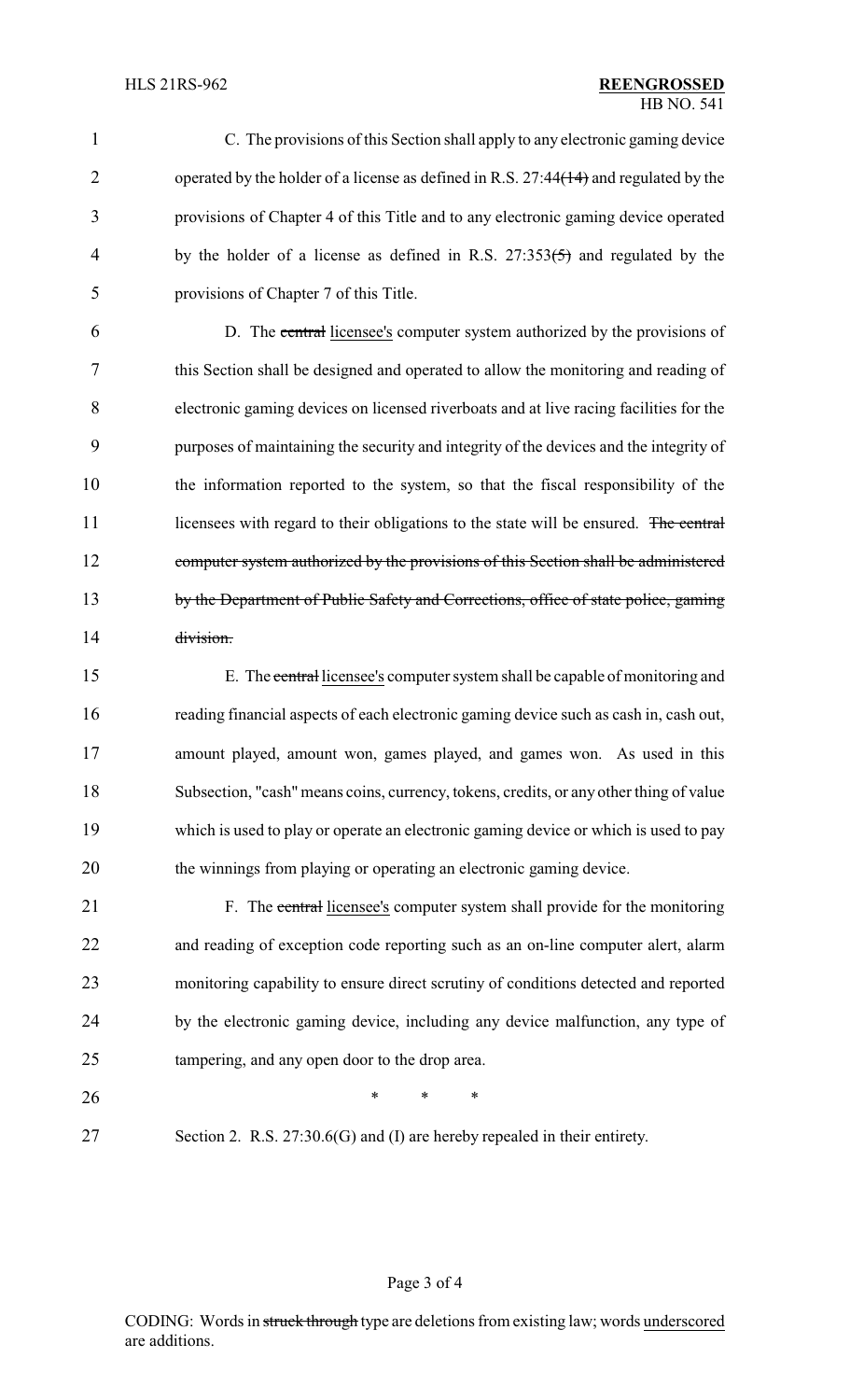C. The provisions of this Section shall apply to any electronic gaming device 2 operated by the holder of a license as defined in R.S. 27:44(14) and regulated by the provisions of Chapter 4 of this Title and to any electronic gaming device operated 4 by the holder of a license as defined in R.S. 27:353(5) and regulated by the provisions of Chapter 7 of this Title. D. The central licensee's computer system authorized by the provisions of this Section shall be designed and operated to allow the monitoring and reading of electronic gaming devices on licensed riverboats and at live racing facilities for the

 purposes of maintaining the security and integrity of the devices and the integrity of the information reported to the system, so that the fiscal responsibility of the 11 licensees with regard to their obligations to the state will be ensured. The central computer system authorized by the provisions of this Section shall be administered by the Department of Public Safety and Corrections, office of state police, gaming division.

15 E. The central licensee's computer system shall be capable of monitoring and reading financial aspects of each electronic gaming device such as cash in, cash out, amount played, amount won, games played, and games won. As used in this Subsection, "cash"means coins, currency, tokens, credits, or any other thing of value which is used to play or operate an electronic gaming device or which is used to pay the winnings from playing or operating an electronic gaming device.

21 F. The central licensee's computer system shall provide for the monitoring and reading of exception code reporting such as an on-line computer alert, alarm monitoring capability to ensure direct scrutiny of conditions detected and reported by the electronic gaming device, including any device malfunction, any type of tampering, and any open door to the drop area.

- **\*** \* \* \*
- Section 2. R.S. 27:30.6(G) and (I) are hereby repealed in their entirety.

### Page 3 of 4